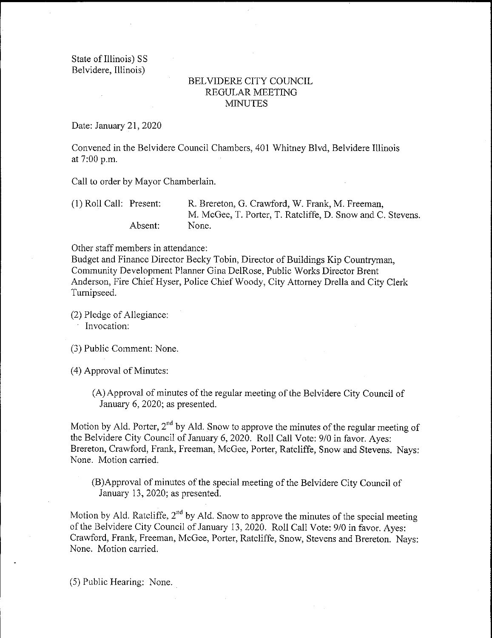State of Illinois) SS Belvidere, Illinois)

## BELVIDERE CITY COUNCIL REGULAR MEETING MINUTES

Date: January 21, 2020

Convened in the Belvidere Council Chambers, 401 Whitney Blvd, Belvidere Illinois at  $7:00$  p.m.

Call to order by Mayor Chamberlain.

| $(1)$ Roll Call: Present: |         | R. Brereton, G. Crawford, W. Frank, M. Freeman,            |
|---------------------------|---------|------------------------------------------------------------|
|                           |         | M. McGee, T. Porter, T. Ratcliffe, D. Snow and C. Stevens. |
|                           | Absent: | None.                                                      |

Other staff members in attendance:

Budget and Finance Director Becky Tobin, Director of Buildings Kip Countryman, Community Development Planner Gina DelRose, Public Works Director Brent Anderson, Fire Chief Hyser, Police Chief Woody, City Attorney Drella and City Clerk Turnipseed.

2) Pledge of Allegiance: Invocation:

3) Public Comment: None.

4) Approval of Minutes:

A) Approval of minutes of the regular meeting of the Belvidere City Council of January 6, 2020; as presented.

Motion by Ald. Porter,  $2^{nd}$  by Ald. Snow to approve the minutes of the regular meeting of the Belvidere City Council of January 6, 2020. Roll Call Vote: 9/0 in favor. Ayes: Brereton, Crawford, Frank, Freeman, McGee, Porter, Ratcliffe, Snow and Stevens. Nays: None. Motion carried.

B) Approval of minutes of the special meeting of the Belvidere City Council of January 13, 2020; as presented.

Motion by Ald. Ratcliffe,  $2<sup>nd</sup>$  by Ald. Snow to approve the minutes of the special meeting of the Belvidere City Council of January 13, 2020. Roll Call Vote: 9/0 in favor. Ayes: Crawford, Frank, Freeman, McGee, Porter, Ratcliffe, Snow, Stevens and Brereton. Nays: None. Motion carried.

5) Public Hearing: None.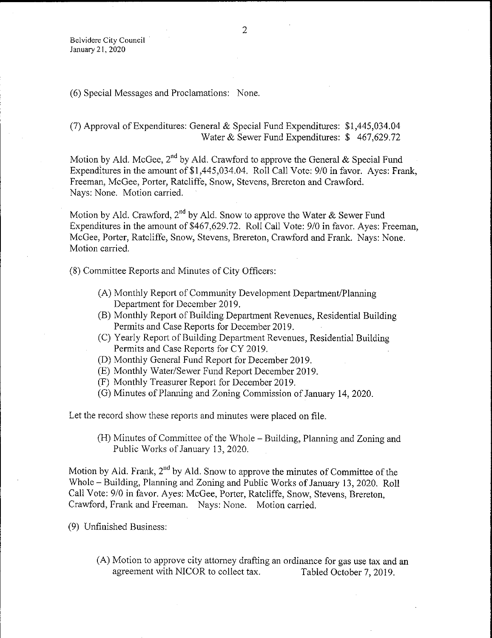6) Special Messages and Proclamations: None.

## 7) Approval of Expenditures: General & Special Fund Expenditures: \$ 1, 445, 034. 04 Water & Sewer Fund Expenditures:  $$467,629.72$

Motion by Ald. McGee,  $2^{nd}$  by Ald. Crawford to approve the General & Special Fund Expenditures in the amount of \$1,445,034.04. Roll Call Vote: 9/0 in favor. Ayes: Frank, Freeman, McGee, Porter, Ratcliffe, Snow, Stevens, Brereton and Crawford. Nays: None. Motion carried.

Motion by Ald. Crawford,  $2^{nd}$  by Ald. Snow to approve the Water & Sewer Fund Expenditures in the amount of \$467,629.72. Roll Call Vote: 9/0 in favor. Ayes: Freeman, McGee, Porter, Ratcliffe, Snow, Stevens, Brereton, Crawford and Frank. Nays: None. Motion carried.

8) Committee Reports and Minutes of City Officers:

- A) Monthly Report of Community Development Department/ Planning Department for December 2019.
- B) Monthly Report of Building Department Revenues, Residential Building Permits and Case Reports for December 2019.
- C) Yearly Report of Building Department Revenues, Residential Building Permits and Case Reports for CY 2019.
- D) Monthly General Fund Report for December 2019.
- E) Monthly Water/ Sewer Fund Report December 2019.
- F) Monthly Treasurer Report for December 2019.
- G) Minutes of Planning and Zoning Commission of January 14, 2020.

Let the record show these reports and minutes were placed on file.

H) Minutes of Committee of the Whole—Building, Planning and Zoning and Public Works of January 13, 2020.

Motion by Ald. Frank,  $2<sup>nd</sup>$  by Ald. Snow to approve the minutes of Committee of the Whole— Building, Planning and Zoning and Public Works of January 13, 2020. Roll Call Vote: 9/0 in favor. Ayes: McGee, Porter, Ratcliffe, Snow, Stevens, Brereton, Crawford, Frank and Freeman. Nays: None. Motion carried.

9) Unfinished Business:

(A) Motion to approve city attorney drafting an ordinance for gas use tax and an agreement with NICOR to collect tax. Tabled October 7, 2019. agreement with NICOR to collect tax.